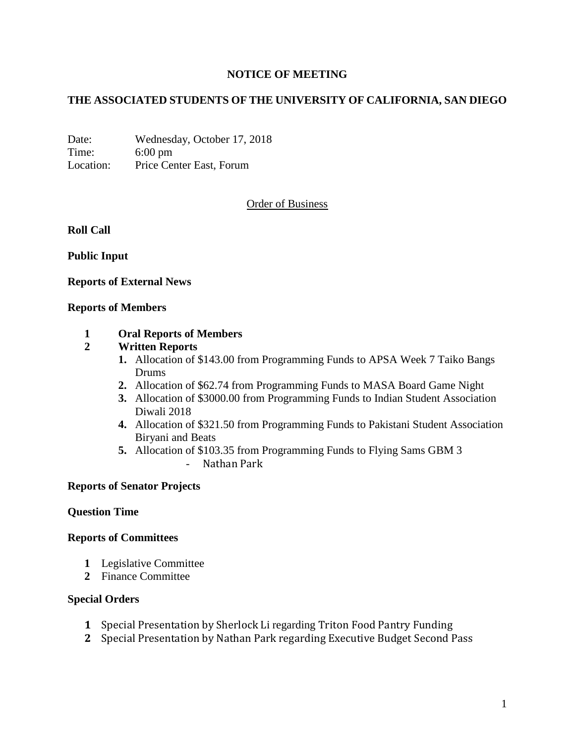# **NOTICE OF MEETING**

# **THE ASSOCIATED STUDENTS OF THE UNIVERSITY OF CALIFORNIA, SAN DIEGO**

Date: Wednesday, October 17, 2018 Time: 6:00 pm Location: Price Center East, Forum

## Order of Business

**Roll Call**

**Public Input**

**Reports of External News**

#### **Reports of Members**

#### **1 Oral Reports of Members**

### **2 Written Reports**

- **1.** Allocation of \$143.00 from Programming Funds to APSA Week 7 Taiko Bangs Drums
- **2.** Allocation of \$62.74 from Programming Funds to MASA Board Game Night
- **3.** Allocation of \$3000.00 from Programming Funds to Indian Student Association Diwali 2018
- **4.** Allocation of \$321.50 from Programming Funds to Pakistani Student Association Biryani and Beats
- **5.** Allocation of \$103.35 from Programming Funds to Flying Sams GBM 3 - Nathan Park

### **Reports of Senator Projects**

### **Question Time**

#### **Reports of Committees**

- **1** Legislative Committee
- **2** Finance Committee

#### **Special Orders**

- **1** Special Presentation by Sherlock Li regarding Triton Food Pantry Funding
- **2** Special Presentation by Nathan Park regarding Executive Budget Second Pass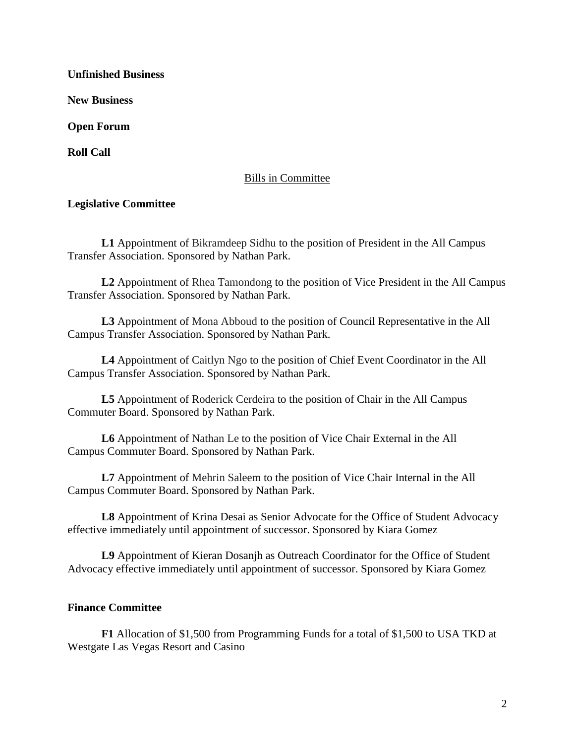**Unfinished Business**

**New Business**

**Open Forum**

**Roll Call**

# Bills in Committee

## **Legislative Committee**

**L1** Appointment of Bikramdeep Sidhu to the position of President in the All Campus Transfer Association. Sponsored by Nathan Park.

**L2** Appointment of Rhea Tamondong to the position of Vice President in the All Campus Transfer Association. Sponsored by Nathan Park.

**L3** Appointment of Mona Abboud to the position of Council Representative in the All Campus Transfer Association. Sponsored by Nathan Park.

**L4** Appointment of Caitlyn Ngo to the position of Chief Event Coordinator in the All Campus Transfer Association. Sponsored by Nathan Park.

**L5** Appointment of Roderick Cerdeira to the position of Chair in the All Campus Commuter Board. Sponsored by Nathan Park.

**L6** Appointment of Nathan Le to the position of Vice Chair External in the All Campus Commuter Board. Sponsored by Nathan Park.

**L7** Appointment of Mehrin Saleem to the position of Vice Chair Internal in the All Campus Commuter Board. Sponsored by Nathan Park.

**L8** Appointment of Krina Desai as Senior Advocate for the Office of Student Advocacy effective immediately until appointment of successor. Sponsored by Kiara Gomez

**L9** Appointment of Kieran Dosanjh as Outreach Coordinator for the Office of Student Advocacy effective immediately until appointment of successor. Sponsored by Kiara Gomez

### **Finance Committee**

**F1** Allocation of \$1,500 from Programming Funds for a total of \$1,500 to USA TKD at Westgate Las Vegas Resort and Casino